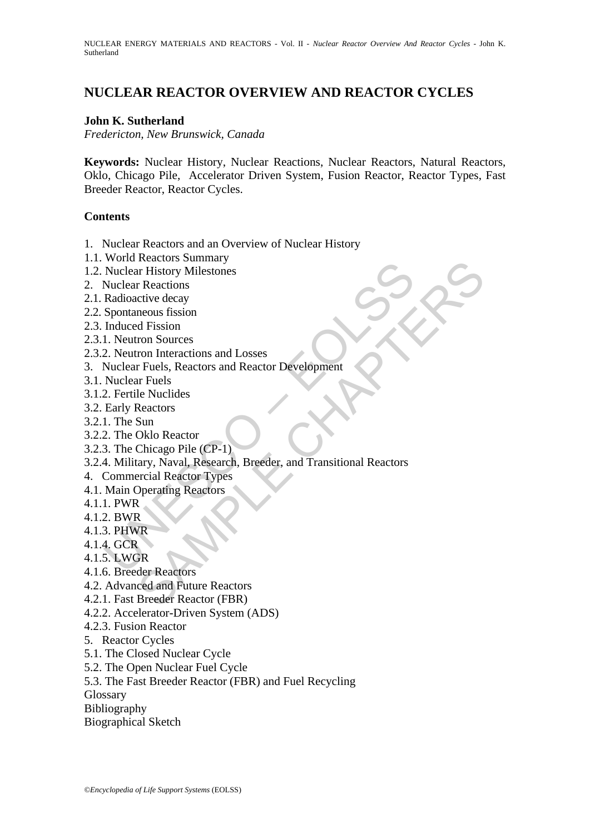# **NUCLEAR REACTOR OVERVIEW AND REACTOR CYCLES**

# **John K. Sutherland**

*Fredericton, New Brunswick, Canada* 

**Keywords:** Nuclear History, Nuclear Reactions, Nuclear Reactors, Natural Reactors, Oklo, Chicago Pile, Accelerator Driven System, Fusion Reactor, Reactor Types, Fast Breeder Reactor, Reactor Cycles.

## **Contents**

- 1. Nuclear Reactors and an Overview of Nuclear History
- 1.1. World Reactors Summary
- 1.2. Nuclear History Milestones
- 2. Nuclear Reactions
- 2.1. Radioactive decay
- 2.2. Spontaneous fission
- 2.3. Induced Fission
- 2.3.1. Neutron Sources
- 2.3.2. Neutron Interactions and Losses
- 3. Nuclear Fuels, Reactors and Reactor Development
- 3.1. Nuclear Fuels
- 3.1.2. Fertile Nuclides
- 3.2. Early Reactors
- 3.2.1. The Sun
- 3.2.2. The Oklo Reactor
- 3.2.3. The Chicago Pile (CP-1)
- World Tustens Somman<br>
Nuclear History Milestones<br>
Radioactive decay<br>
Spontaneous fission<br>
In Neutron Sources<br>
1. Neutron Sources<br>
2. Neutron Interactions and Losses<br>
Nuclear Fuels, Reactors and Reactor Development<br>
Nuclear Netation Summary<br>
The Thistory Milestones<br>
The Thistory Milestones<br>
d Fission<br>
non Sources<br>
d Fission<br>
non Sources<br>
Felles, Reactors and Reactor Development<br>
Freuls Is.<br>
ENGING Reactors<br>
Sum<br>
Sum<br>
Sum<br>
Sumary, Naval, Resea 3.2.4. Military, Naval, Research, Breeder, and Transitional Reactors
- 4. Commercial Reactor Types
- 4.1. Main Operating Reactors
- 4.1.1. PWR
- 4.1.2. BWR
- 4.1.3. PHWR
- 4.1.4. GCR
- 4.1.5. LWGR
- 4.1.6. Breeder Reactors
- 4.2. Advanced and Future Reactors
- 4.2.1. Fast Breeder Reactor (FBR)
- 4.2.2. Accelerator-Driven System (ADS)
- 4.2.3. Fusion Reactor
- 5. Reactor Cycles
- 5.1. The Closed Nuclear Cycle
- 5.2. The Open Nuclear Fuel Cycle
- 5.3. The Fast Breeder Reactor (FBR) and Fuel Recycling
- **Glossary**
- Bibliography
- Biographical Sketch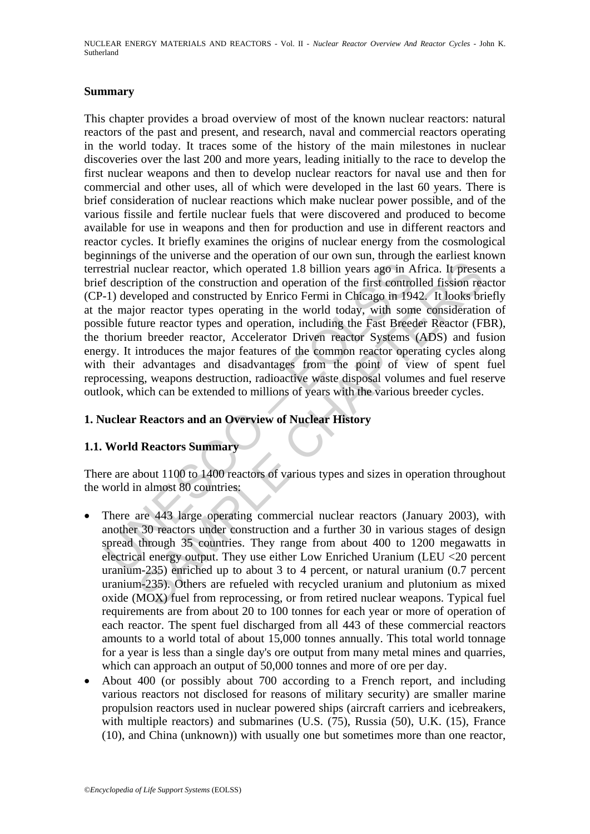NUCLEAR ENERGY MATERIALS AND REACTORS - Vol. II - *Nuclear Reactor Overview And Reactor Cycles* - John K. Sutherland

#### **Summary**

estrial nuclear reactor, which operated 1.8 billion years ago in A<br>f description of the construction and operation of the first contro<br>-1) developed and constructed by Enrico Fermi in Chicago in 194<br>he major reactor types uclear reactor, which operated 1.8 billion years ago in Africa. It preserved incurred to the function and operation of the first controlled fission reached by Enrico Fermi in Chicago in 1942. It looks bring the evolution a This chapter provides a broad overview of most of the known nuclear reactors: natural reactors of the past and present, and research, naval and commercial reactors operating in the world today. It traces some of the history of the main milestones in nuclear discoveries over the last 200 and more years, leading initially to the race to develop the first nuclear weapons and then to develop nuclear reactors for naval use and then for commercial and other uses, all of which were developed in the last 60 years. There is brief consideration of nuclear reactions which make nuclear power possible, and of the various fissile and fertile nuclear fuels that were discovered and produced to become available for use in weapons and then for production and use in different reactors and reactor cycles. It briefly examines the origins of nuclear energy from the cosmological beginnings of the universe and the operation of our own sun, through the earliest known terrestrial nuclear reactor, which operated 1.8 billion years ago in Africa. It presents a brief description of the construction and operation of the first controlled fission reactor (CP-1) developed and constructed by Enrico Fermi in Chicago in 1942. It looks briefly at the major reactor types operating in the world today, with some consideration of possible future reactor types and operation, including the Fast Breeder Reactor (FBR), the thorium breeder reactor, Accelerator Driven reactor Systems (ADS) and fusion energy. It introduces the major features of the common reactor operating cycles along with their advantages and disadvantages from the point of view of spent fuel reprocessing, weapons destruction, radioactive waste disposal volumes and fuel reserve outlook, which can be extended to millions of years with the various breeder cycles.

# **1. Nuclear Reactors and an Overview of Nuclear History**

## **1.1. World Reactors Summary**

There are about 1100 to 1400 reactors of various types and sizes in operation throughout the world in almost 80 countries:

- There are 443 large operating commercial nuclear reactors (January 2003), with another 30 reactors under construction and a further 30 in various stages of design spread through 35 countries. They range from about 400 to 1200 megawatts in electrical energy output. They use either Low Enriched Uranium (LEU <20 percent uranium-235) enriched up to about 3 to 4 percent, or natural uranium (0.7 percent uranium-235). Others are refueled with recycled uranium and plutonium as mixed oxide (MOX) fuel from reprocessing, or from retired nuclear weapons. Typical fuel requirements are from about 20 to 100 tonnes for each year or more of operation of each reactor. The spent fuel discharged from all 443 of these commercial reactors amounts to a world total of about 15,000 tonnes annually. This total world tonnage for a year is less than a single day's ore output from many metal mines and quarries, which can approach an output of 50,000 tonnes and more of ore per day.
- About 400 (or possibly about 700 according to a French report, and including various reactors not disclosed for reasons of military security) are smaller marine propulsion reactors used in nuclear powered ships (aircraft carriers and icebreakers, with multiple reactors) and submarines (U.S. (75), Russia (50), U.K. (15), France (10), and China (unknown)) with usually one but sometimes more than one reactor,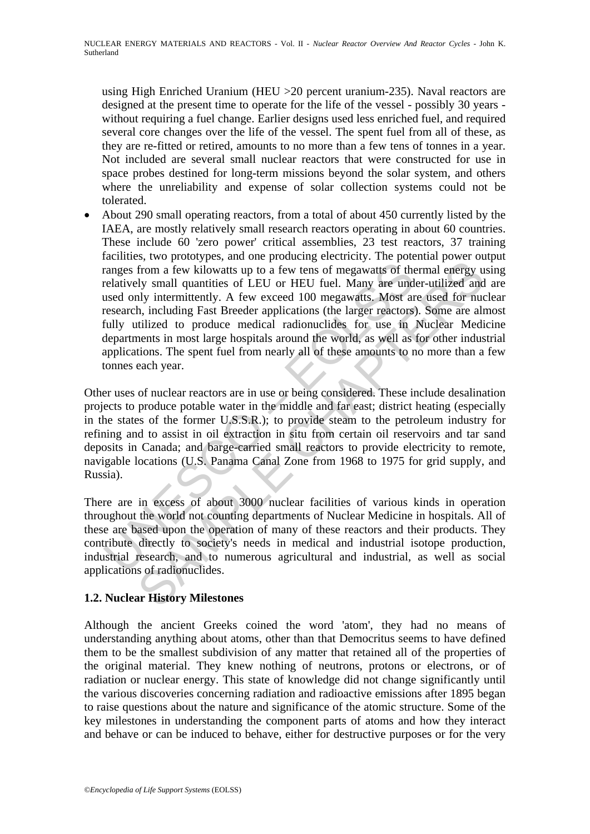using High Enriched Uranium (HEU >20 percent uranium-235). Naval reactors are designed at the present time to operate for the life of the vessel - possibly 30 years without requiring a fuel change. Earlier designs used less enriched fuel, and required several core changes over the life of the vessel. The spent fuel from all of these, as they are re-fitted or retired, amounts to no more than a few tens of tonnes in a year. Not included are several small nuclear reactors that were constructed for use in space probes destined for long-term missions beyond the solar system, and others where the unreliability and expense of solar collection systems could not be tolerated.

ranges from a few kilowatts up to a few tens of megawatts of the<br>relatively small quantities of LEU or HEU fuel. Many are und<br>used only intermittently. A few exceed 100 megawatts. Most are<br>research, including Fast Breeder by small quantities of the producing occur-<br>from a few kilowatts up to a few tens of megawatts of thermal energy u<br>ly small quantities of LEU or HEU fuel. Many are under-utilized and<br>hy intermittently. A few exceed 100 meg • About 290 small operating reactors, from a total of about 450 currently listed by the IAEA, are mostly relatively small research reactors operating in about 60 countries. These include 60 'zero power' critical assemblies, 23 test reactors, 37 training facilities, two prototypes, and one producing electricity. The potential power output ranges from a few kilowatts up to a few tens of megawatts of thermal energy using relatively small quantities of LEU or HEU fuel. Many are under-utilized and are used only intermittently. A few exceed 100 megawatts. Most are used for nuclear research, including Fast Breeder applications (the larger reactors). Some are almost fully utilized to produce medical radionuclides for use in Nuclear Medicine departments in most large hospitals around the world, as well as for other industrial applications. The spent fuel from nearly all of these amounts to no more than a few tonnes each year.

Other uses of nuclear reactors are in use or being considered. These include desalination projects to produce potable water in the middle and far east; district heating (especially in the states of the former U.S.S.R.); to provide steam to the petroleum industry for refining and to assist in oil extraction in situ from certain oil reservoirs and tar sand deposits in Canada; and barge-carried small reactors to provide electricity to remote, navigable locations (U.S. Panama Canal Zone from 1968 to 1975 for grid supply, and Russia).

There are in excess of about 3000 nuclear facilities of various kinds in operation throughout the world not counting departments of Nuclear Medicine in hospitals. All of these are based upon the operation of many of these reactors and their products. They contribute directly to society's needs in medical and industrial isotope production, industrial research, and to numerous agricultural and industrial, as well as social applications of radionuclides.

# **1.2. Nuclear History Milestones**

Although the ancient Greeks coined the word 'atom', they had no means of understanding anything about atoms, other than that Democritus seems to have defined them to be the smallest subdivision of any matter that retained all of the properties of the original material. They knew nothing of neutrons, protons or electrons, or of radiation or nuclear energy. This state of knowledge did not change significantly until the various discoveries concerning radiation and radioactive emissions after 1895 began to raise questions about the nature and significance of the atomic structure. Some of the key milestones in understanding the component parts of atoms and how they interact and behave or can be induced to behave, either for destructive purposes or for the very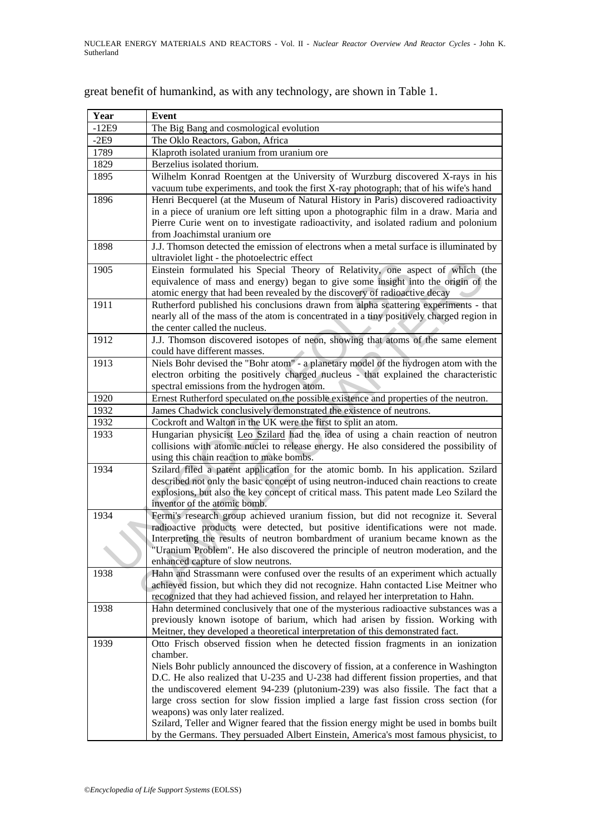| Year    | <b>Event</b>                                                                                                                                                                       |  |  |  |  |  |
|---------|------------------------------------------------------------------------------------------------------------------------------------------------------------------------------------|--|--|--|--|--|
| $-12E9$ | The Big Bang and cosmological evolution                                                                                                                                            |  |  |  |  |  |
| $-2E9$  | The Oklo Reactors, Gabon, Africa                                                                                                                                                   |  |  |  |  |  |
| 1789    | Klaproth isolated uranium from uranium ore                                                                                                                                         |  |  |  |  |  |
| 1829    | Berzelius isolated thorium.                                                                                                                                                        |  |  |  |  |  |
| 1895    | Wilhelm Konrad Roentgen at the University of Wurzburg discovered X-rays in his                                                                                                     |  |  |  |  |  |
|         | vacuum tube experiments, and took the first X-ray photograph; that of his wife's hand                                                                                              |  |  |  |  |  |
| 1896    | Henri Becquerel (at the Museum of Natural History in Paris) discovered radioactivity                                                                                               |  |  |  |  |  |
|         | in a piece of uranium ore left sitting upon a photographic film in a draw. Maria and                                                                                               |  |  |  |  |  |
|         | Pierre Curie went on to investigate radioactivity, and isolated radium and polonium<br>from Joachimstal uranium ore                                                                |  |  |  |  |  |
| 1898    | J.J. Thomson detected the emission of electrons when a metal surface is illuminated by                                                                                             |  |  |  |  |  |
|         | ultraviolet light - the photoelectric effect                                                                                                                                       |  |  |  |  |  |
| 1905    | Einstein formulated his Special Theory of Relativity, one aspect of which (the                                                                                                     |  |  |  |  |  |
|         | equivalence of mass and energy) began to give some insight into the origin of the                                                                                                  |  |  |  |  |  |
| 1911    | atomic energy that had been revealed by the discovery of radioactive decay                                                                                                         |  |  |  |  |  |
|         | Rutherford published his conclusions drawn from alpha scattering experiments - that<br>nearly all of the mass of the atom is concentrated in a tiny positively charged region in   |  |  |  |  |  |
|         | the center called the nucleus.                                                                                                                                                     |  |  |  |  |  |
| 1912    | J.J. Thomson discovered isotopes of neon, showing that atoms of the same element                                                                                                   |  |  |  |  |  |
|         | could have different masses.                                                                                                                                                       |  |  |  |  |  |
| 1913    | Niels Bohr devised the "Bohr atom" - a planetary model of the hydrogen atom with the                                                                                               |  |  |  |  |  |
|         | electron orbiting the positively charged nucleus - that explained the characteristic                                                                                               |  |  |  |  |  |
|         | spectral emissions from the hydrogen atom.                                                                                                                                         |  |  |  |  |  |
| 1920    | Ernest Rutherford speculated on the possible existence and properties of the neutron.                                                                                              |  |  |  |  |  |
| 1932    | James Chadwick conclusively demonstrated the existence of neutrons.                                                                                                                |  |  |  |  |  |
| 1932    | Cockroft and Walton in the UK were the first to split an atom.                                                                                                                     |  |  |  |  |  |
| 1933    | Hungarian physicist Leo Szilard had the idea of using a chain reaction of neutron                                                                                                  |  |  |  |  |  |
|         | collisions with atomic nuclei to release energy. He also considered the possibility of                                                                                             |  |  |  |  |  |
|         | using this chain reaction to make bombs.                                                                                                                                           |  |  |  |  |  |
| 1934    | Szilard filed a patent application for the atomic bomb. In his application. Szilard                                                                                                |  |  |  |  |  |
|         | described not only the basic concept of using neutron-induced chain reactions to create<br>explosions, but also the key concept of critical mass. This patent made Leo Szilard the |  |  |  |  |  |
|         | inventor of the atomic bomb.                                                                                                                                                       |  |  |  |  |  |
| 1934    | Fermi's research group achieved uranium fission, but did not recognize it. Several                                                                                                 |  |  |  |  |  |
|         | radioactive products were detected, but positive identifications were not made.                                                                                                    |  |  |  |  |  |
|         | Interpreting the results of neutron bombardment of uranium became known as the                                                                                                     |  |  |  |  |  |
|         | "Uranium Problem". He also discovered the principle of neutron moderation, and the                                                                                                 |  |  |  |  |  |
|         | enhanced capture of slow neutrons.                                                                                                                                                 |  |  |  |  |  |
| 1938    | Hahn and Strassmann were confused over the results of an experiment which actually                                                                                                 |  |  |  |  |  |
|         | achieved fission, but which they did not recognize. Hahn contacted Lise Meitner who                                                                                                |  |  |  |  |  |
|         | recognized that they had achieved fission, and relayed her interpretation to Hahn.                                                                                                 |  |  |  |  |  |
| 1938    | Hahn determined conclusively that one of the mysterious radioactive substances was a                                                                                               |  |  |  |  |  |
|         | previously known isotope of barium, which had arisen by fission. Working with                                                                                                      |  |  |  |  |  |
| 1939    | Meitner, they developed a theoretical interpretation of this demonstrated fact.<br>Otto Frisch observed fission when he detected fission fragments in an ionization                |  |  |  |  |  |
|         | chamber.                                                                                                                                                                           |  |  |  |  |  |
|         | Niels Bohr publicly announced the discovery of fission, at a conference in Washington                                                                                              |  |  |  |  |  |
|         | D.C. He also realized that U-235 and U-238 had different fission properties, and that                                                                                              |  |  |  |  |  |
|         | the undiscovered element 94-239 (plutonium-239) was also fissile. The fact that a                                                                                                  |  |  |  |  |  |
|         | large cross section for slow fission implied a large fast fission cross section (for                                                                                               |  |  |  |  |  |
|         | weapons) was only later realized.                                                                                                                                                  |  |  |  |  |  |
|         | Szilard, Teller and Wigner feared that the fission energy might be used in bombs built                                                                                             |  |  |  |  |  |
|         | by the Germans. They persuaded Albert Einstein, America's most famous physicist, to                                                                                                |  |  |  |  |  |

great benefit of humankind, as with any technology, are shown in Table 1.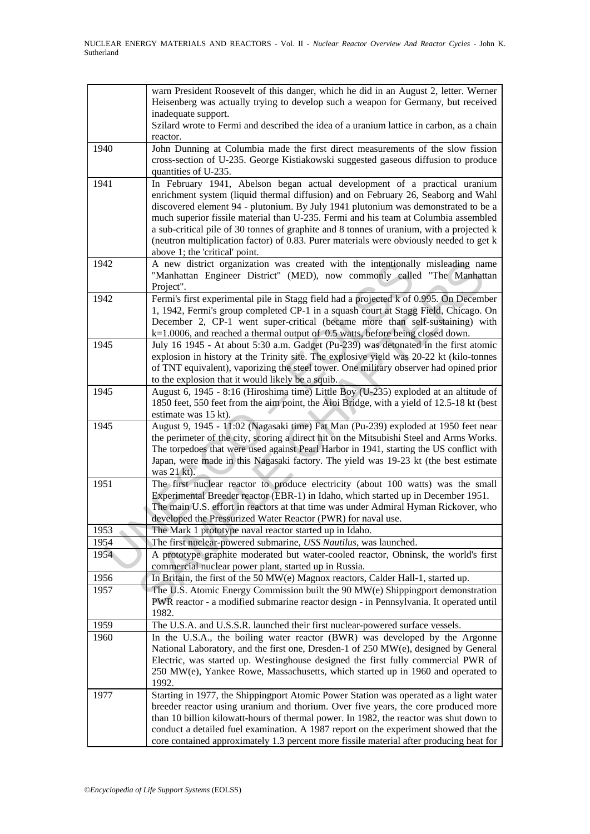|      | warn President Roosevelt of this danger, which he did in an August 2, letter. Werner<br>Heisenberg was actually trying to develop such a weapon for Germany, but received |
|------|---------------------------------------------------------------------------------------------------------------------------------------------------------------------------|
|      | inadequate support.<br>Szilard wrote to Fermi and described the idea of a uranium lattice in carbon, as a chain<br>reactor.                                               |
| 1940 | John Dunning at Columbia made the first direct measurements of the slow fission                                                                                           |
|      | cross-section of U-235. George Kistiakowski suggested gaseous diffusion to produce<br>quantities of U-235.                                                                |
| 1941 | In February 1941, Abelson began actual development of a practical uranium                                                                                                 |
|      | enrichment system (liquid thermal diffusion) and on February 26, Seaborg and Wahl                                                                                         |
|      | discovered element 94 - plutonium. By July 1941 plutonium was demonstrated to be a                                                                                        |
|      | much superior fissile material than U-235. Fermi and his team at Columbia assembled                                                                                       |
|      | a sub-critical pile of 30 tonnes of graphite and 8 tonnes of uranium, with a projected k                                                                                  |
|      | (neutron multiplication factor) of 0.83. Purer materials were obviously needed to get k                                                                                   |
|      | above 1; the 'critical' point.                                                                                                                                            |
| 1942 | A new district organization was created with the intentionally misleading name                                                                                            |
|      | "Manhattan Engineer District" (MED), now commonly called "The Manhattan                                                                                                   |
|      | Project".                                                                                                                                                                 |
| 1942 | Fermi's first experimental pile in Stagg field had a projected k of 0.995. On December                                                                                    |
|      | 1, 1942, Fermi's group completed CP-1 in a squash court at Stagg Field, Chicago. On                                                                                       |
|      |                                                                                                                                                                           |
|      | December 2, CP-1 went super-critical (became more than self-sustaining) with                                                                                              |
|      | k=1.0006, and reached a thermal output of 0.5 watts, before being closed down.                                                                                            |
| 1945 | July 16 1945 - At about 5:30 a.m. Gadget (Pu-239) was detonated in the first atomic                                                                                       |
|      | explosion in history at the Trinity site. The explosive yield was 20-22 kt (kilo-tonnes                                                                                   |
|      | of TNT equivalent), vaporizing the steel tower. One military observer had opined prior                                                                                    |
|      | to the explosion that it would likely be a squib.                                                                                                                         |
| 1945 | August 6, 1945 - 8:16 (Hiroshima time) Little Boy (U-235) exploded at an altitude of                                                                                      |
|      | 1850 feet, 550 feet from the aim point, the Aioi Bridge, with a yield of 12.5-18 kt (best                                                                                 |
|      | estimate was 15 kt).                                                                                                                                                      |
| 1945 | August 9, 1945 - 11:02 (Nagasaki time) Fat Man (Pu-239) exploded at 1950 feet near                                                                                        |
|      | the perimeter of the city, scoring a direct hit on the Mitsubishi Steel and Arms Works.                                                                                   |
|      | The torpedoes that were used against Pearl Harbor in 1941, starting the US conflict with                                                                                  |
|      | Japan, were made in this Nagasaki factory. The yield was 19-23 kt (the best estimate                                                                                      |
|      | was 21 kt).                                                                                                                                                               |
| 1951 | The first nuclear reactor to produce electricity (about 100 watts) was the small                                                                                          |
|      | Experimental Breeder reactor (EBR-1) in Idaho, which started up in December 1951.                                                                                         |
|      | The main U.S. effort in reactors at that time was under Admiral Hyman Rickover, who                                                                                       |
|      | developed the Pressurized Water Reactor (PWR) for naval use.                                                                                                              |
| 1953 | The Mark 1 prototype naval reactor started up in Idaho.                                                                                                                   |
| 1954 | The first nuclear-powered submarine, USS Nautilus, was launched.                                                                                                          |
| 1954 | A prototype graphite moderated but water-cooled reactor, Obninsk, the world's first                                                                                       |
|      | commercial nuclear power plant, started up in Russia.                                                                                                                     |
| 1956 | In Britain, the first of the 50 MW(e) Magnox reactors, Calder Hall-1, started up.                                                                                         |
| 1957 | The U.S. Atomic Energy Commission built the 90 MW(e) Shippingport demonstration                                                                                           |
|      | PWR reactor - a modified submarine reactor design - in Pennsylvania. It operated until                                                                                    |
|      | 1982.                                                                                                                                                                     |
| 1959 | The U.S.A. and U.S.S.R. launched their first nuclear-powered surface vessels.                                                                                             |
| 1960 | In the U.S.A., the boiling water reactor (BWR) was developed by the Argonne                                                                                               |
|      | National Laboratory, and the first one, Dresden-1 of 250 MW(e), designed by General                                                                                       |
|      | Electric, was started up. Westinghouse designed the first fully commercial PWR of                                                                                         |
|      | 250 MW(e), Yankee Rowe, Massachusetts, which started up in 1960 and operated to                                                                                           |
|      | 1992.                                                                                                                                                                     |
| 1977 | Starting in 1977, the Shippingport Atomic Power Station was operated as a light water                                                                                     |
|      | breeder reactor using uranium and thorium. Over five years, the core produced more                                                                                        |
|      | than 10 billion kilowatt-hours of thermal power. In 1982, the reactor was shut down to                                                                                    |
|      | conduct a detailed fuel examination. A 1987 report on the experiment showed that the                                                                                      |
|      | core contained approximately 1.3 percent more fissile material after producing heat for                                                                                   |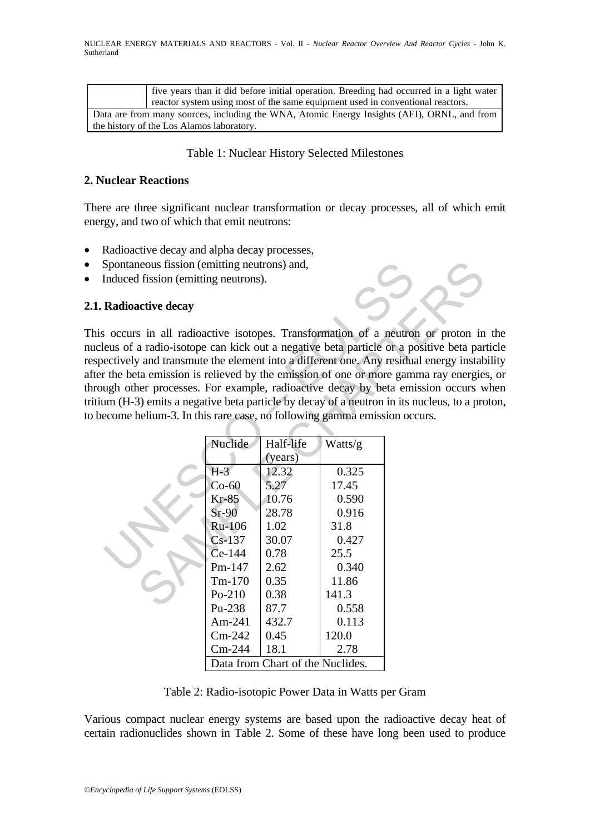five years than it did before initial operation. Breeding had occurred in a light water reactor system using most of the same equipment used in conventional reactors. Data are from many sources, including the WNA, Atomic Energy Insights (AEI), ORNL, and from the history of the Los Alamos laboratory.

## Table 1: Nuclear History Selected Milestones

# **2. Nuclear Reactions**

There are three significant nuclear transformation or decay processes, all of which emit energy, and two of which that emit neutrons:

- Radioactive decay and alpha decay processes,
- Spontaneous fission (emitting neutrons) and,
- Induced fission (emitting neutrons).

## **2.1. Radioactive decay**

This occurs in all radioactive isotopes. Transformation of a neutron or proton in the nucleus of a radio-isotope can kick out a negative beta particle or a positive beta particle respectively and transmute the element into a different one. Any residual energy instability after the beta emission is relieved by the emission of one or more gamma ray energies, or through other processes. For example, radioactive decay by beta emission occurs when tritium (H-3) emits a negative beta particle by decay of a neutron in its nucleus, to a proton, to become helium-3. In this rare case, no following gamma emission occurs.

| Spontaneous fission (emitting neutrons) and,                           |                                                                                                                                                                 |                                                                                                                                           |                                                                                                                                    |                                                                                                                                                                                                                                                                                                                                                                                                                                                                                                                         |
|------------------------------------------------------------------------|-----------------------------------------------------------------------------------------------------------------------------------------------------------------|-------------------------------------------------------------------------------------------------------------------------------------------|------------------------------------------------------------------------------------------------------------------------------------|-------------------------------------------------------------------------------------------------------------------------------------------------------------------------------------------------------------------------------------------------------------------------------------------------------------------------------------------------------------------------------------------------------------------------------------------------------------------------------------------------------------------------|
| Induced fission (emitting neutrons).                                   |                                                                                                                                                                 |                                                                                                                                           |                                                                                                                                    |                                                                                                                                                                                                                                                                                                                                                                                                                                                                                                                         |
| <b>Radioactive decay</b>                                               |                                                                                                                                                                 |                                                                                                                                           |                                                                                                                                    |                                                                                                                                                                                                                                                                                                                                                                                                                                                                                                                         |
| ecome helium-3. In this rare case, no following gamma emission occurs. |                                                                                                                                                                 |                                                                                                                                           |                                                                                                                                    | occurs in all radioactive isotopes. Transformation of a neutron or proton in<br>eus of a radio-isotope can kick out a negative beta particle or a positive beta par<br>ectively and transmute the element into a different one. Any residual energy instab<br>the beta emission is relieved by the emission of one or more gamma ray energie<br>ugh other processes. For example, radioactive decay by beta emission occurs w<br>um (H-3) emits a negative beta particle by decay of a neutron in its nucleus, to a pro |
|                                                                        | Nuclide<br>$H-3$<br>$Co-60$<br>$Kr-85$<br>$Sr-90$<br>Ru-106<br>$Cs-137$<br>Ce-144<br>Pm-147<br>$Tm-170$<br>$Po-210$<br>Pu-238<br>Am-241<br>$Cm-242$<br>$Cm-244$ | Half-life<br>(years)<br>12.32<br>5.27<br>10.76<br>28.78<br>1.02<br>30.07<br>0.78<br>2.62<br>0.35<br>0.38<br>87.7<br>432.7<br>0.45<br>18.1 | Watts/g<br>0.325<br>17.45<br>0.590<br>0.916<br>31.8<br>0.427<br>25.5<br>0.340<br>11.86<br>141.3<br>0.558<br>0.113<br>120.0<br>2.78 |                                                                                                                                                                                                                                                                                                                                                                                                                                                                                                                         |
|                                                                        |                                                                                                                                                                 | Data from Chart of the Nuclides.                                                                                                          |                                                                                                                                    |                                                                                                                                                                                                                                                                                                                                                                                                                                                                                                                         |

Table 2: Radio-isotopic Power Data in Watts per Gram

Various compact nuclear energy systems are based upon the radioactive decay heat of certain radionuclides shown in Table 2. Some of these have long been used to produce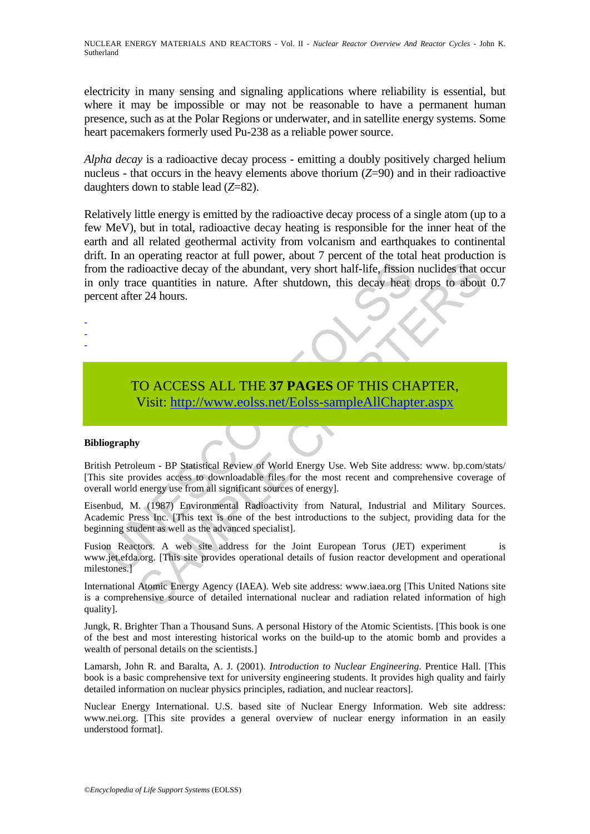electricity in many sensing and signaling applications where reliability is essential, but where it may be impossible or may not be reasonable to have a permanent human presence, such as at the Polar Regions or underwater, and in satellite energy systems. Some heart pacemakers formerly used Pu-238 as a reliable power source.

*Alpha decay* is a radioactive decay process - emitting a doubly positively charged helium nucleus - that occurs in the heavy elements above thorium (*Z*=90) and in their radioactive daughters down to stable lead (*Z*=82).

1 alternative decay of the abundant, very short half-life, fission<br>nly trace quantities in nature. After shutdown, this decay heat<br>ent after 24 hours.<br>TO ACCESS ALL THE 37 PAGES OF THIS CHA<br>Visit: http://www.eolss.net/Eols Transport and the abundant, very short half-life, fission nuclides that of<br>dioactive decay of the abundant, very short half-life, fission nuclides that o<br>ce quantities in nature. After shutdown, this decay heat drops to ab Relatively little energy is emitted by the radioactive decay process of a single atom (up to a few MeV), but in total, radioactive decay heating is responsible for the inner heat of the earth and all related geothermal activity from volcanism and earthquakes to continental drift. In an operating reactor at full power, about 7 percent of the total heat production is from the radioactive decay of the abundant, very short half-life, fission nuclides that occur in only trace quantities in nature. After shutdown, this decay heat drops to about 0.7 percent after 24 hours.

TO ACCESS ALL THE **37 PAGES** OF THIS CHAPTER, Visit: http://www.eolss.net/Eolss-sampleAllChapter.aspx

#### **Bibliography**

- - -

British Petroleum - BP Statistical Review of World Energy Use. Web Site address: www. bp.com/stats/ [This site provides access to downloadable files for the most recent and comprehensive coverage of overall world energy use from all significant sources of energy].

Eisenbud, M. (1987) Environmental Radioactivity from Natural, Industrial and Military Sources. Academic Press Inc. [This text is one of the best introductions to the subject, providing data for the beginning student as well as the advanced specialist].

Fusion Reactors. A web site address for the Joint European Torus (JET) experiment is www.jet.efda.org. [This site provides operational details of fusion reactor development and operational milestones.]

International Atomic Energy Agency (IAEA). Web site address: www.iaea.org [This United Nations site is a comprehensive source of detailed international nuclear and radiation related information of high quality].

Jungk, R. Brighter Than a Thousand Suns. A personal History of the Atomic Scientists. [This book is one of the best and most interesting historical works on the build-up to the atomic bomb and provides a wealth of personal details on the scientists.]

Lamarsh, John R. and Baralta, A. J. (2001). *Introduction to Nuclear Engineering*. Prentice Hall. [This book is a basic comprehensive text for university engineering students. It provides high quality and fairly detailed information on nuclear physics principles, radiation, and nuclear reactors].

Nuclear Energy International. U.S. based site of Nuclear Energy Information. Web site address: www.nei.org. [This site provides a general overview of nuclear energy information in an easily understood format].